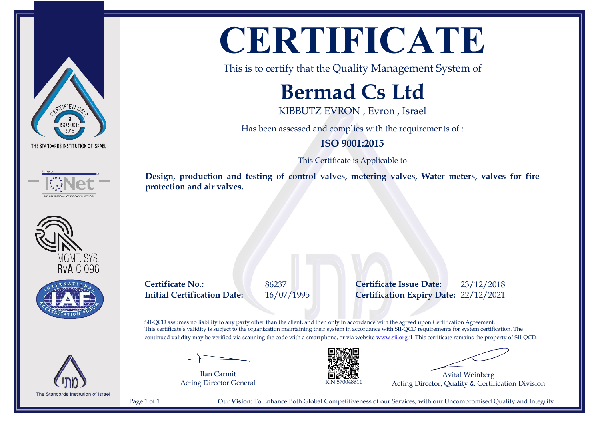









**CERTIFICATE**

This is to certify that the Quality Management System of

## **Bermad Cs Ltd**

KIBBUTZ EVRON , Evron , Israel

Has been assessed and complies with the requirements of :

## **ISO 9001:2015**

This Certificate is Applicable to

**Design, production and testing of control valves, metering valves, Water meters, valves for fire protection and air valves.**

**Certificate No.:** 86237 **Certificate Issue Date:** 23/12/2018 **Initial Certification Date:** 16/07/1995 **Certification Expiry Date:** 22/12/2021

SII-QCD assumes no liability to any party other than the client, and then only in accordance with the agreed upon Certification Agreement. This certificate's validity is subject to the organization maintaining their system in accordance with SII-QCD requirements for system certification. The continued validity may be verified via scanning the code with a smartphone, or via website [www.sii.org.il.](http://www.sii.org.il) This certificate remains the property of SII-QCD.

Ilan Carmit Acting Director General



Avital Weinberg Acting Director, Quality & Certification Division

Page 1 of 1 **Our Vision**: To Enhance Both Global Competitiveness of our Services, with our Uncompromised Quality and Integrity